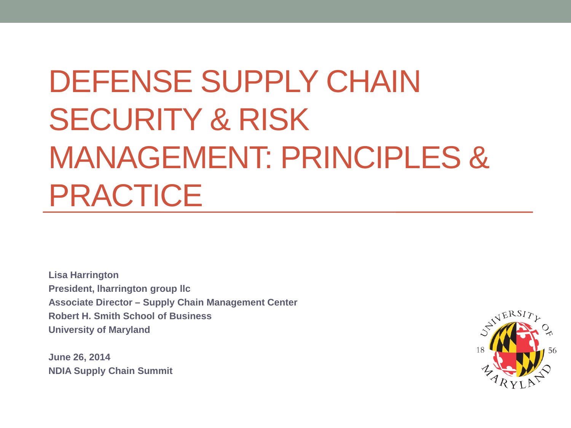# DEFENSE SUPPLY CHAIN SECURITY & RISK MANAGEMENT: PRINCIPLES & PRACTICE

**Lisa Harrington President, lharrington group llc Associate Director – Supply Chain Management Center Robert H. Smith School of Business University of Maryland**

**June 26, 2014 NDIA Supply Chain Summit** 

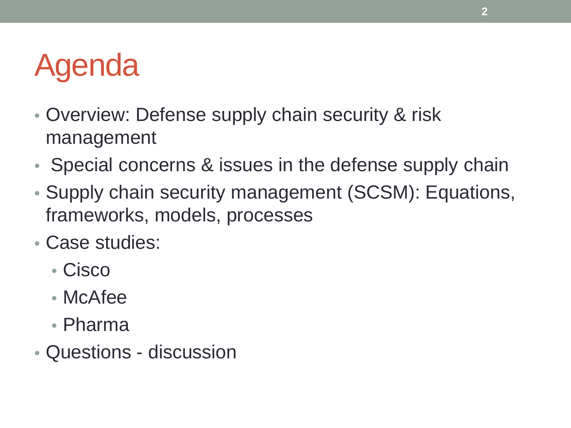# Agenda

- Overview: Defense supply chain security & risk management
- Special concerns & issues in the defense supply chain
- Supply chain security management (SCSM): Equations, frameworks, models, processes
- Case studies:
	- Cisco
	- McAfee
	- Pharma
- Questions discussion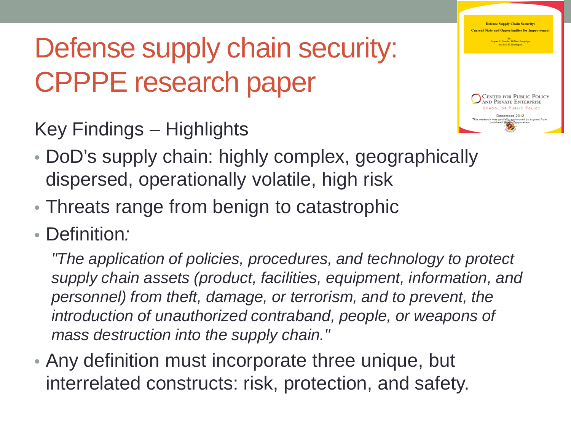### Defense supply chain security: CPPPE research paper

Key Findings – Highlights



- DoD's supply chain: highly complex, geographically dispersed, operationally volatile, high risk
- Threats range from benign to catastrophic
- Definition*:*

*"The application of policies, procedures, and technology to protect supply chain assets (product, facilities, equipment, information, and personnel) from theft, damage, or terrorism, and to prevent, the introduction of unauthorized contraband, people, or weapons of mass destruction into the supply chain."* 

• Any definition must incorporate three unique, but interrelated constructs: risk, protection, and safety.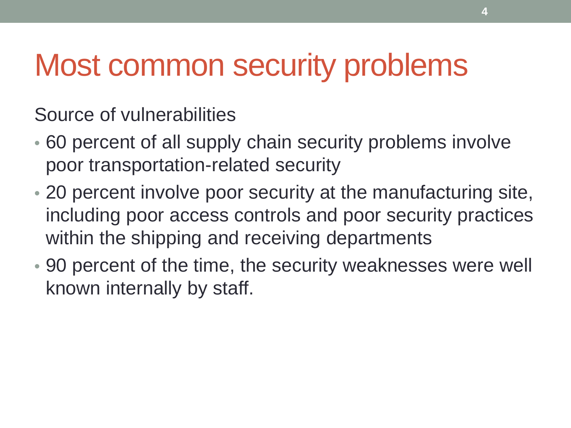### Most common security problems

Source of vulnerabilities

- 60 percent of all supply chain security problems involve poor transportation-related security
- 20 percent involve poor security at the manufacturing site, including poor access controls and poor security practices within the shipping and receiving departments
- 90 percent of the time, the security weaknesses were well known internally by staff.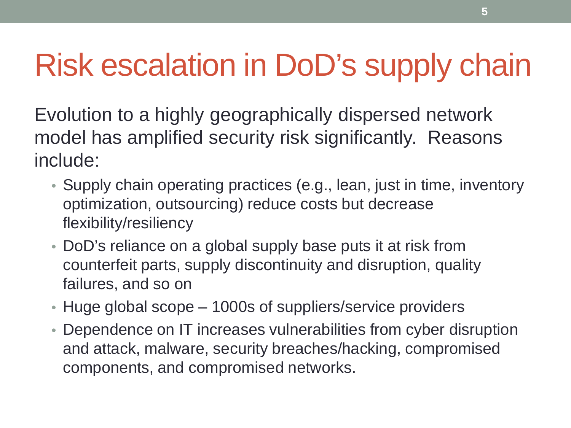# Risk escalation in DoD's supply chain

Evolution to a highly geographically dispersed network model has amplified security risk significantly. Reasons include:

- Supply chain operating practices (e.g., lean, just in time, inventory optimization, outsourcing) reduce costs but decrease flexibility/resiliency
- DoD's reliance on a global supply base puts it at risk from counterfeit parts, supply discontinuity and disruption, quality failures, and so on
- Huge global scope 1000s of suppliers/service providers
- Dependence on IT increases vulnerabilities from cyber disruption and attack, malware, security breaches/hacking, compromised components, and compromised networks.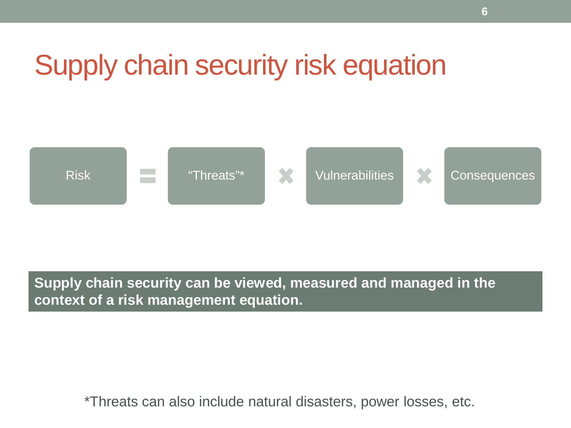### Supply chain security risk equation



#### **Supply chain security can be viewed, measured and managed in the context of a risk management equation.**

\*Threats can also include natural disasters, power losses, etc.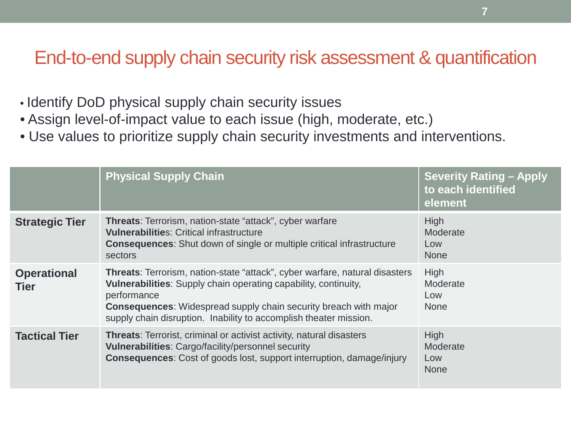#### End-to-end supply chain security risk assessment & quantification

- Identify DoD physical supply chain security issues
- Assign level-of-impact value to each issue (high, moderate, etc.)
- Use values to prioritize supply chain security investments and interventions.

|                                   | <b>Physical Supply Chain</b>                                                                                                                                                                                                                                                                                                | <b>Severity Rating - Apply</b><br>to each identified<br>element |
|-----------------------------------|-----------------------------------------------------------------------------------------------------------------------------------------------------------------------------------------------------------------------------------------------------------------------------------------------------------------------------|-----------------------------------------------------------------|
| <b>Strategic Tier</b>             | Threats: Terrorism, nation-state "attack", cyber warfare<br><b>Vulnerabilities: Critical infrastructure</b><br><b>Consequences:</b> Shut down of single or multiple critical infrastructure<br>sectors                                                                                                                      | <b>High</b><br>Moderate<br>Low<br><b>None</b>                   |
| <b>Operational</b><br><b>Tier</b> | <b>Threats:</b> Terrorism, nation-state "attack", cyber warfare, natural disasters<br><b>Vulnerabilities:</b> Supply chain operating capability, continuity,<br>performance<br><b>Consequences:</b> Widespread supply chain security breach with major<br>supply chain disruption. Inability to accomplish theater mission. | <b>High</b><br>Moderate<br>Low<br><b>None</b>                   |
| <b>Tactical Tier</b>              | <b>Threats:</b> Terrorist, criminal or activist activity, natural disasters<br>Vulnerabilities: Cargo/facility/personnel security<br><b>Consequences:</b> Cost of goods lost, support interruption, damage/injury                                                                                                           | <b>High</b><br>Moderate<br>Low<br><b>None</b>                   |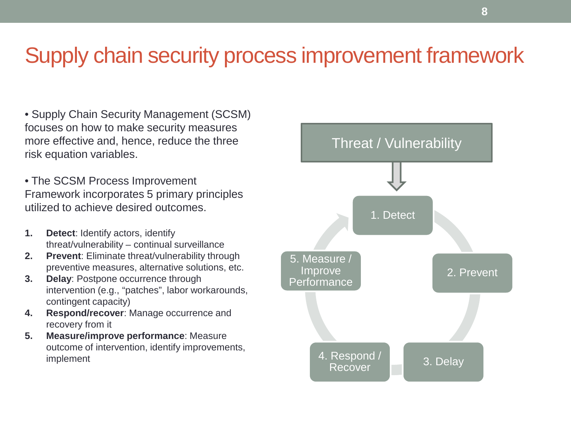### Supply chain security process improvement framework

- Supply Chain Security Management (SCSM) focuses on how to make security measures more effective and, hence, reduce the three risk equation variables.
- The SCSM Process Improvement Framework incorporates 5 primary principles utilized to achieve desired outcomes.
- **1. Detect**: Identify actors, identify threat/vulnerability – continual surveillance
- **2. Prevent**: Eliminate threat/vulnerability through preventive measures, alternative solutions, etc.
- **3. Delay**: Postpone occurrence through intervention (e.g., "patches", labor workarounds, contingent capacity)
- **4. Respond/recover**: Manage occurrence and recovery from it
- **5. Measure/improve performance**: Measure outcome of intervention, identify improvements, implement

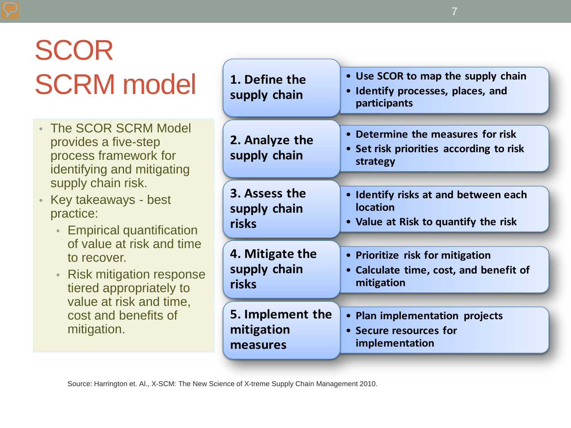## **SCOR SCRM** model

- The SCOR SCRM Model provides a five-step process framework for identifying and mitigating supply chain risk.
- Key takeaways best practice:
	- Empirical quantification of value at risk and time to recover.
	- Risk mitigation response tiered appropriately to value at risk and time, cost and benefits of mitigation.

| 1. Define the<br>supply chain  | • Use SCOR to map the supply chain<br>• Identify processes, places, and<br>participants |
|--------------------------------|-----------------------------------------------------------------------------------------|
| 2. Analyze the<br>supply chain | Determine the measures for risk<br>• Set risk priorities according to risk<br>strategy  |
| 3. Assess the                  | • Identify risks at and between each                                                    |
| supply chain                   | <b>location</b>                                                                         |
| risks                          | • Value at Risk to quantify the risk                                                    |
| 4. Mitigate the                | • Prioritize risk for mitigation                                                        |
| supply chain                   | • Calculate time, cost, and benefit of                                                  |
| risks                          | mitigation                                                                              |
| 5. Implement the               | • Plan implementation projects                                                          |
| mitigation                     | • Secure resources for                                                                  |
| measures                       | implementation                                                                          |

Source: Harrington et. Al., X-SCM: The New Science of X-treme Supply Chain Management 2010.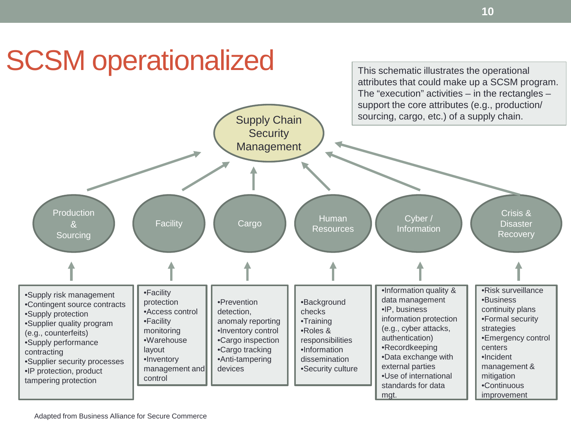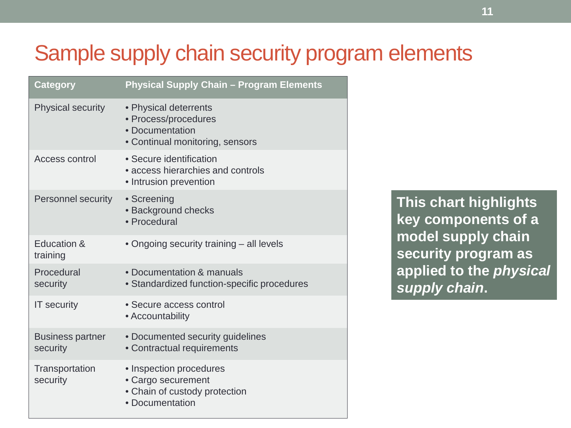### Sample supply chain security program elements

| <b>Category</b>                     | <b>Physical Supply Chain - Program Elements</b>                                                     |
|-------------------------------------|-----------------------------------------------------------------------------------------------------|
| <b>Physical security</b>            | • Physical deterrents<br>· Process/procedures<br>• Documentation<br>• Continual monitoring, sensors |
| Access control                      | • Secure identification<br>• access hierarchies and controls<br>• Intrusion prevention              |
| <b>Personnel security</b>           | • Screening<br>· Background checks<br>· Procedural                                                  |
| Education &<br>training             | • Ongoing security training – all levels                                                            |
| Procedural<br>security              | • Documentation & manuals<br>• Standardized function-specific procedures                            |
| <b>IT</b> security                  | • Secure access control<br>• Accountability                                                         |
| <b>Business partner</b><br>security | • Documented security guidelines<br>• Contractual requirements                                      |
| Transportation<br>security          | • Inspection procedures<br>• Cargo securement<br>• Chain of custody protection<br>• Documentation   |

**This chart highlights key components of a model supply chain security program as applied to the** *physical supply chain***.**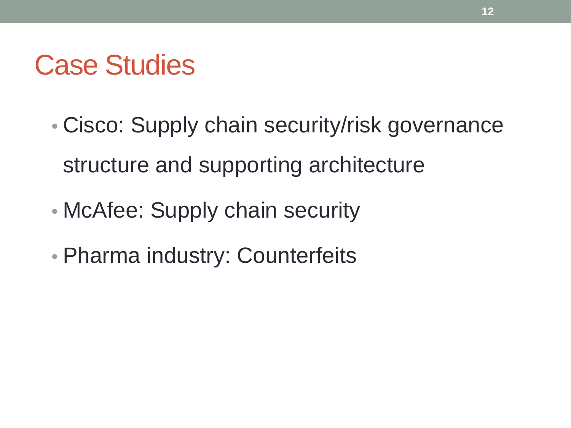### Case Studies

- Cisco: Supply chain security/risk governance structure and supporting architecture
- McAfee: Supply chain security
- Pharma industry: Counterfeits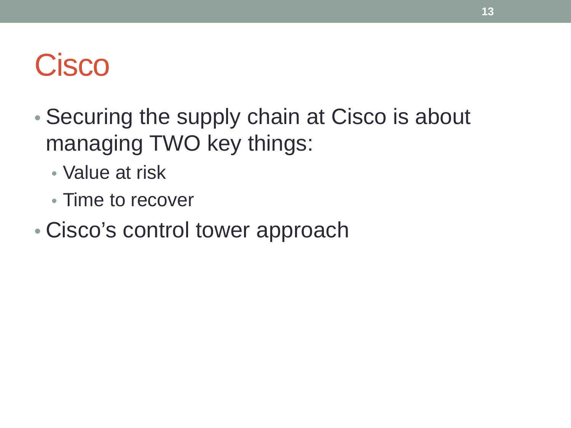# **Cisco**

- Securing the supply chain at Cisco is about managing TWO key things:
	- Value at risk
	- Time to recover
- Cisco's control tower approach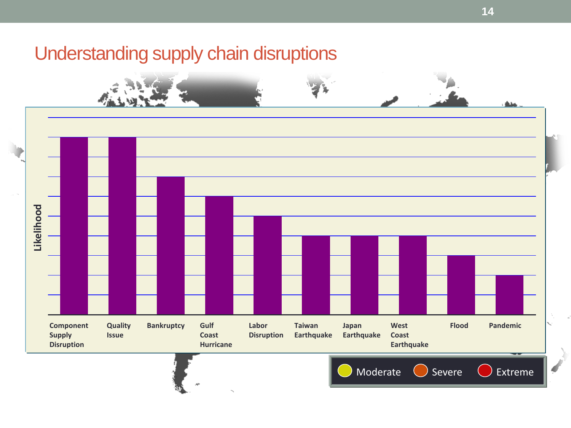#### Understanding supply chain disruptions

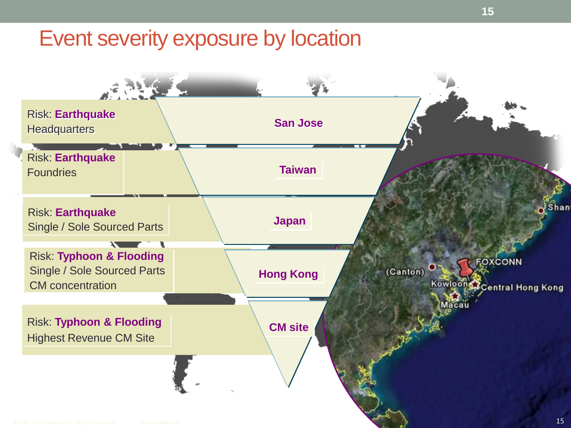### Event severity exposure by location

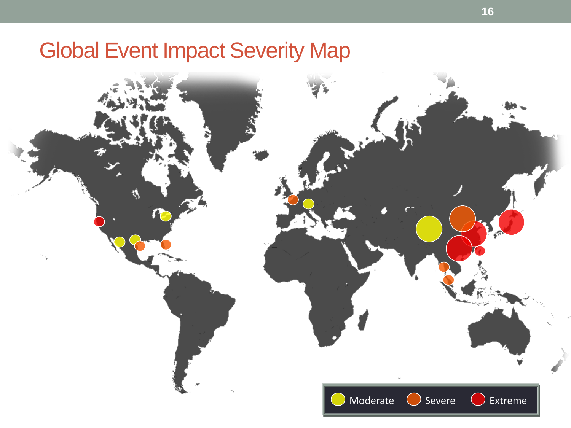### Global Event Impact Severity Map

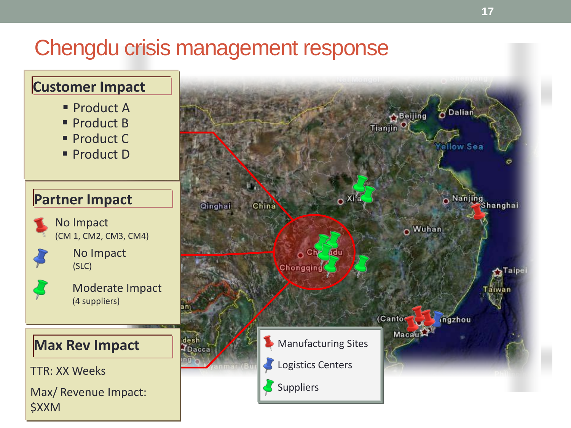### Chengdu crisis management response

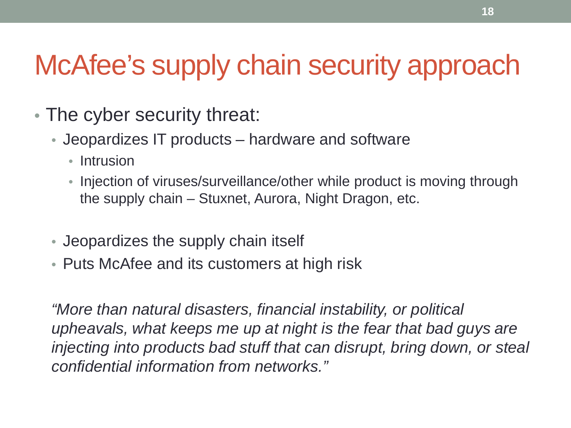### McAfee's supply chain security approach

- The cyber security threat:
	- Jeopardizes IT products hardware and software
		- Intrusion
		- Injection of viruses/surveillance/other while product is moving through the supply chain – Stuxnet, Aurora, Night Dragon, etc.
	- Jeopardizes the supply chain itself
	- Puts McAfee and its customers at high risk

*"More than natural disasters, financial instability, or political upheavals, what keeps me up at night is the fear that bad guys are injecting into products bad stuff that can disrupt, bring down, or steal confidential information from networks."*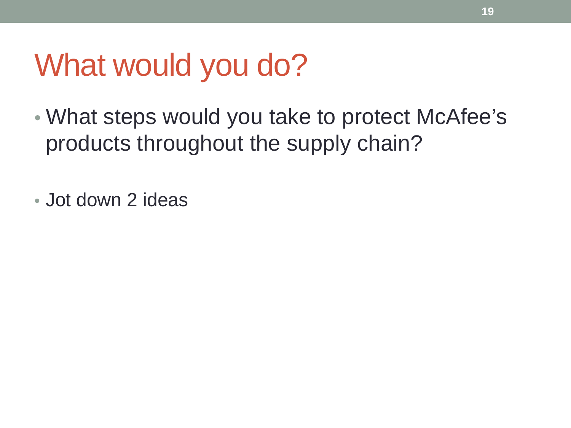### What would you do?

• What steps would you take to protect McAfee's products throughout the supply chain?

• Jot down 2 ideas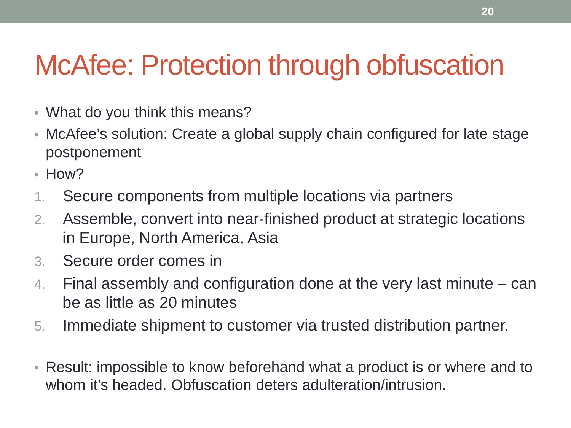### McAfee: Protection through obfuscation

- What do you think this means?
- McAfee's solution: Create a global supply chain configured for late stage postponement
- How?
- 1. Secure components from multiple locations via partners
- 2. Assemble, convert into near-finished product at strategic locations in Europe, North America, Asia
- 3. Secure order comes in
- 4. Final assembly and configuration done at the very last minute can be as little as 20 minutes
- 5. Immediate shipment to customer via trusted distribution partner.
- Result: impossible to know beforehand what a product is or where and to whom it's headed. Obfuscation deters adulteration/intrusion.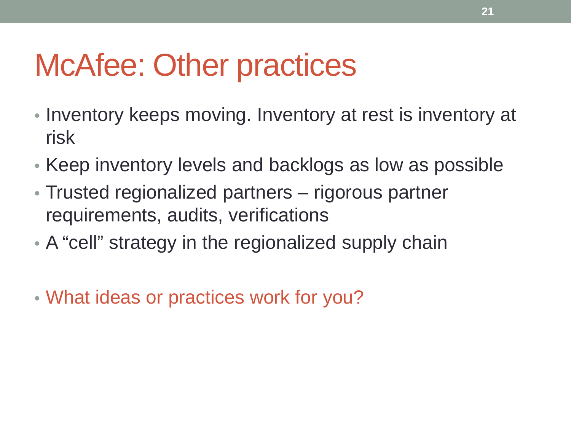## McAfee: Other practices

- Inventory keeps moving. Inventory at rest is inventory at risk
- Keep inventory levels and backlogs as low as possible
- Trusted regionalized partners rigorous partner requirements, audits, verifications
- A "cell" strategy in the regionalized supply chain
- What ideas or practices work for you?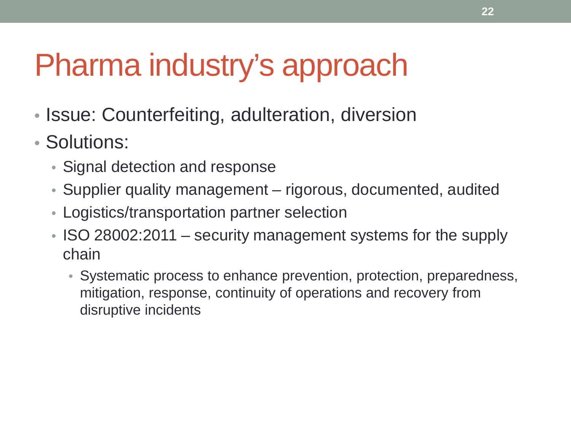## Pharma industry's approach

- Issue: Counterfeiting, adulteration, diversion
- Solutions:
	- Signal detection and response
	- Supplier quality management rigorous, documented, audited
	- Logistics/transportation partner selection
	- ISO 28002:2011 security management systems for the supply chain
		- Systematic process to enhance prevention, protection, preparedness, mitigation, response, continuity of operations and recovery from disruptive incidents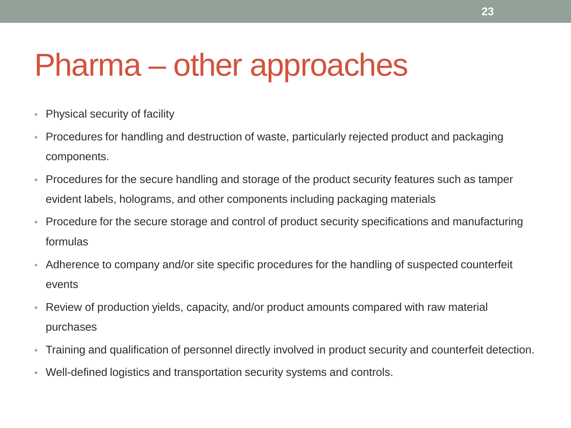## Pharma – other approaches

- Physical security of facility
- Procedures for handling and destruction of waste, particularly rejected product and packaging components.
- Procedures for the secure handling and storage of the product security features such as tamper evident labels, holograms, and other components including packaging materials
- Procedure for the secure storage and control of product security specifications and manufacturing formulas
- Adherence to company and/or site specific procedures for the handling of suspected counterfeit events
- Review of production yields, capacity, and/or product amounts compared with raw material purchases
- Training and qualification of personnel directly involved in product security and counterfeit detection.
- Well-defined logistics and transportation security systems and controls.